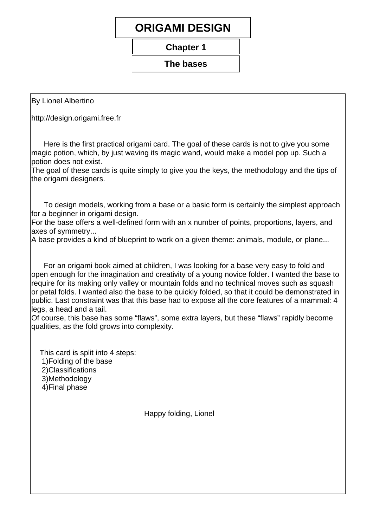## **ORIGAMI DESIGN**

**Chapter 1** 

#### The bases

**By Lionel Albertino** 

http://design.origami.free.fr

Here is the first practical origami card. The goal of these cards is not to give you some magic potion, which, by just waving its magic wand, would make a model pop up. Such a potion does not exist.

The goal of these cards is quite simply to give you the keys, the methodology and the tips of the origami designers.

To design models, working from a base or a basic form is certainly the simplest approach for a beginner in origami design.

For the base offers a well-defined form with an x number of points, proportions, layers, and axes of symmetry...

A base provides a kind of blueprint to work on a given theme: animals, module, or plane...

For an origami book aimed at children, I was looking for a base very easy to fold and open enough for the imagination and creativity of a young novice folder. I wanted the base to require for its making only valley or mountain folds and no technical moves such as squash or petal folds. I wanted also the base to be quickly folded, so that it could be demonstrated in public. Last constraint was that this base had to expose all the core features of a mammal: 4 legs, a head and a tail.

Of course, this base has some "flaws", some extra layers, but these "flaws" rapidly become qualities, as the fold grows into complexity.

This card is split into 4 steps:

- 1) Folding of the base
- 2) Classifications
- 3) Methodology
- 4) Final phase

Happy folding, Lionel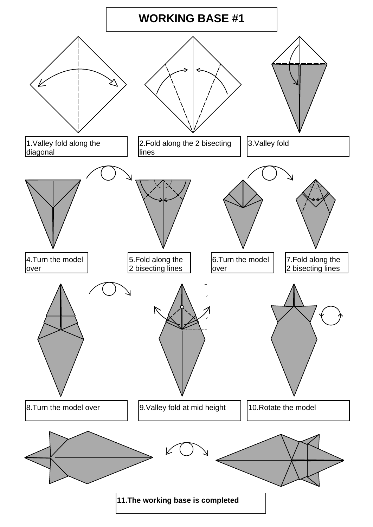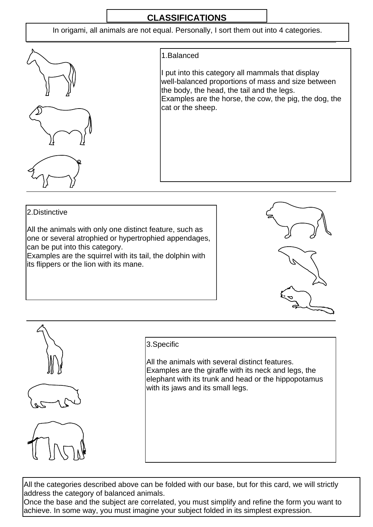### **CLASSIFICATIONS**

In origami, all animals are not equal. Personally, I sort them out into 4 categories.











#### 3. Specific

All the animals with several distinct features. Examples are the giraffe with its neck and legs, the elephant with its trunk and head or the hippopotamus with its jaws and its small legs.

All the categories described above can be folded with our base, but for this card, we will strictly address the category of balanced animals.

Once the base and the subject are correlated, you must simplify and refine the form you want to achieve. In some way, you must imagine your subject folded in its simplest expression.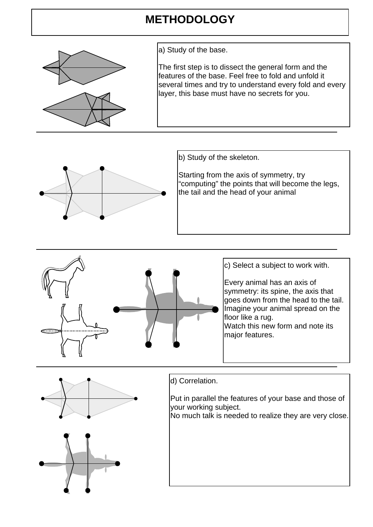# **METHODOLOGY**



a) Study of the base.

The first step is to dissect the general form and the features of the base. Feel free to fold and unfold it several times and try to understand every fold and every layer, this base must have no secrets for you.



b) Study of the skeleton.

Starting from the axis of symmetry, try "computing" the points that will become the legs, the tail and the head of your animal







### d) Correlation.

Put in parallel the features of your base and those of your working subject.

No much talk is needed to realize they are very close.